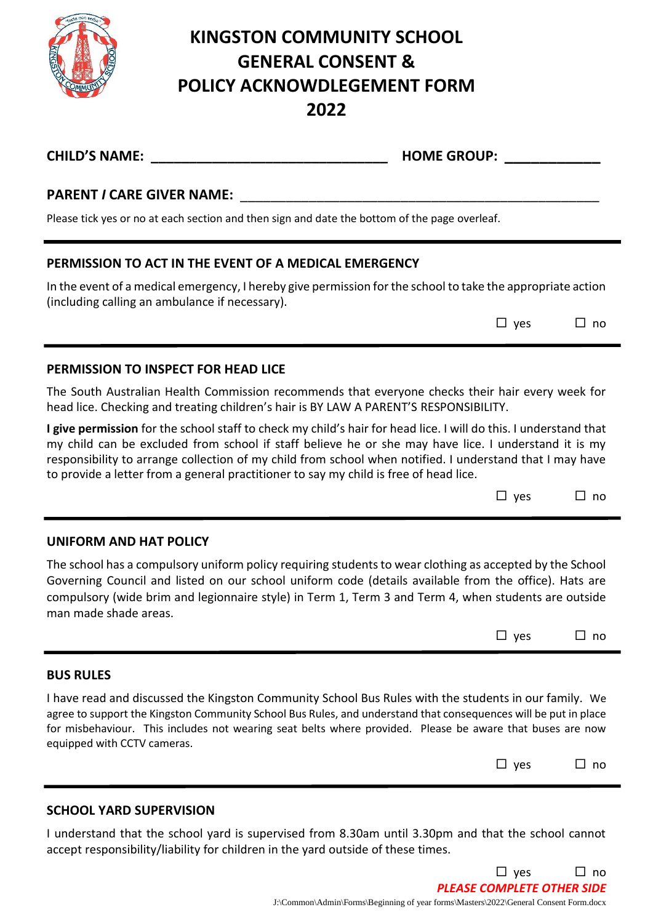

# **KINGSTON COMMUNITY SCHOOL GENERAL CONSENT & POLICY ACKNOWDLEGEMENT FORM 2022**

| <b>CHILD'S NAME:</b>                                                                          | <b>HOME GROUP:</b>                                                                                                                                                                                                                                                                                                                   |  |  |  |
|-----------------------------------------------------------------------------------------------|--------------------------------------------------------------------------------------------------------------------------------------------------------------------------------------------------------------------------------------------------------------------------------------------------------------------------------------|--|--|--|
| <b>PARENT / CARE GIVER NAME:</b>                                                              |                                                                                                                                                                                                                                                                                                                                      |  |  |  |
| Please tick yes or no at each section and then sign and date the bottom of the page overleaf. |                                                                                                                                                                                                                                                                                                                                      |  |  |  |
| PERMISSION TO ACT IN THE EVENT OF A MEDICAL EMERGENCY                                         |                                                                                                                                                                                                                                                                                                                                      |  |  |  |
| (including calling an ambulance if necessary).                                                | In the event of a medical emergency, I hereby give permission for the school to take the appropriate action                                                                                                                                                                                                                          |  |  |  |
|                                                                                               | $\square$ yes<br>⊔ no                                                                                                                                                                                                                                                                                                                |  |  |  |
| PERMISSION TO INSPECT FOR HEAD LICE                                                           |                                                                                                                                                                                                                                                                                                                                      |  |  |  |
| head lice. Checking and treating children's hair is BY LAW A PARENT'S RESPONSIBILITY.         | The South Australian Health Commission recommends that everyone checks their hair every week for                                                                                                                                                                                                                                     |  |  |  |
| to provide a letter from a general practitioner to say my child is free of head lice.         | I give permission for the school staff to check my child's hair for head lice. I will do this. I understand that<br>my child can be excluded from school if staff believe he or she may have lice. I understand it is my<br>responsibility to arrange collection of my child from school when notified. I understand that I may have |  |  |  |

| $\Box$ no |
|-----------|
|           |

## **UNIFORM AND HAT POLICY**

The school has a compulsory uniform policy requiring students to wear clothing as accepted by the School Governing Council and listed on our school uniform code (details available from the office). Hats are compulsory (wide brim and legionnaire style) in Term 1, Term 3 and Term 4, when students are outside man made shade areas.

| $\square$ ves |  | $\sqcup$ no |
|---------------|--|-------------|
|---------------|--|-------------|

### **BUS RULES**

I have read and discussed the Kingston Community School Bus Rules with the students in our family. We agree to support the Kingston Community School Bus Rules, and understand that consequences will be put in place for misbehaviour. This includes not wearing seat belts where provided. Please be aware that buses are now equipped with CCTV cameras.

|  | $\square$ yes |  | $\Box$ no |
|--|---------------|--|-----------|
|--|---------------|--|-----------|

 $\Box$  yes  $\Box$  no

*PLEASE COMPLETE OTHER SIDE*

## **SCHOOL YARD SUPERVISION**

I understand that the school yard is supervised from 8.30am until 3.30pm and that the school cannot accept responsibility/liability for children in the yard outside of these times.